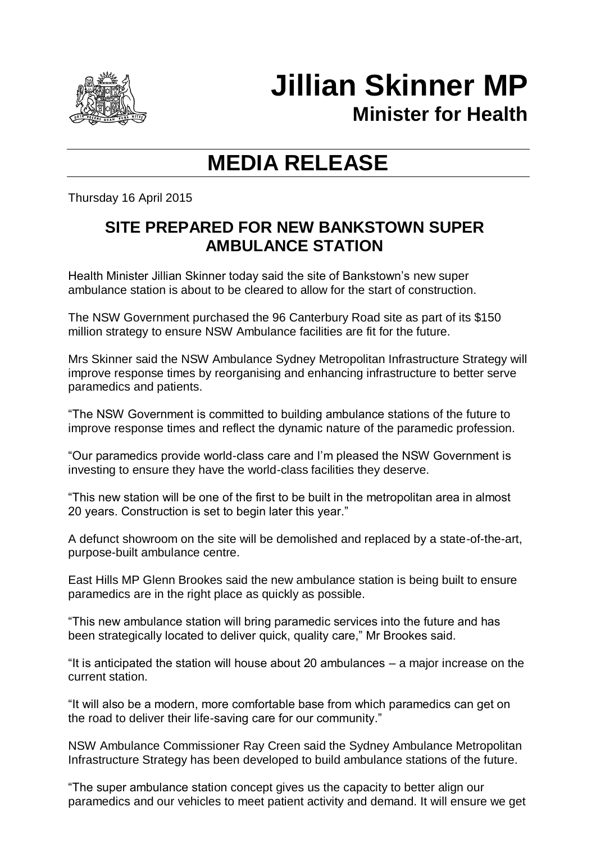

## **Jillian Skinner MP**

**Minister for Health**

## **MEDIA RELEASE**

Thursday 16 April 2015

## **SITE PREPARED FOR NEW BANKSTOWN SUPER AMBULANCE STATION**

Health Minister Jillian Skinner today said the site of Bankstown's new super ambulance station is about to be cleared to allow for the start of construction.

The NSW Government purchased the 96 Canterbury Road site as part of its \$150 million strategy to ensure NSW Ambulance facilities are fit for the future.

Mrs Skinner said the NSW Ambulance Sydney Metropolitan Infrastructure Strategy will improve response times by reorganising and enhancing infrastructure to better serve paramedics and patients.

"The NSW Government is committed to building ambulance stations of the future to improve response times and reflect the dynamic nature of the paramedic profession.

"Our paramedics provide world-class care and I'm pleased the NSW Government is investing to ensure they have the world-class facilities they deserve.

"This new station will be one of the first to be built in the metropolitan area in almost 20 years. Construction is set to begin later this year."

A defunct showroom on the site will be demolished and replaced by a state-of-the-art, purpose-built ambulance centre.

East Hills MP Glenn Brookes said the new ambulance station is being built to ensure paramedics are in the right place as quickly as possible.

"This new ambulance station will bring paramedic services into the future and has been strategically located to deliver quick, quality care," Mr Brookes said.

"It is anticipated the station will house about 20 ambulances – a major increase on the current station.

"It will also be a modern, more comfortable base from which paramedics can get on the road to deliver their life-saving care for our community."

NSW Ambulance Commissioner Ray Creen said the Sydney Ambulance Metropolitan Infrastructure Strategy has been developed to build ambulance stations of the future.

"The super ambulance station concept gives us the capacity to better align our paramedics and our vehicles to meet patient activity and demand. It will ensure we get